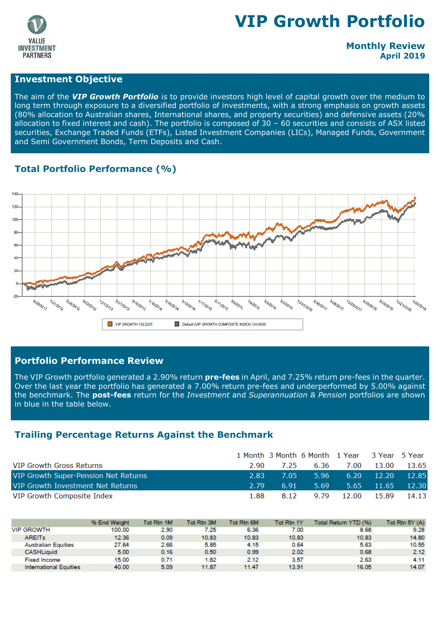

# **VIP Growth Portfolio**

#### **Monthly Review April 2019**

#### **Investment Objective**

The aim of the *VIP Growth Portfolio* is to provide investors high level of capital growth over the medium to long term through exposure to a diversified portfolio of investments, with a strong emphasis on growth assets (80% allocation to Australian shares, International shares, and property securities) and defensive assets (20% allocation to fixed interest and cash). The portfolio is composed of 30 – 60 securities and consists of ASX listed securities, Exchange Traded Funds (ETFs), Listed Investment Companies (LICs), Managed Funds, Government and Semi Government Bonds, Term Deposits and Cash.

#### **Total Portfolio Performance (%)**



#### **Portfolio Performance Review**

The VIP Growth portfolio generated a 2.90% return **pre-fees** in April, and 7.25% return pre-fees in the quarter. Over the last year the portfolio has generated a 7.00% return pre-fees and underperformed by 5.00% against the benchmark. The **post-fees** return for the *Investment* and *Superannuation & Pension* portfolios are shown in blue in the table below.

#### **Trailing Percentage Returns Against the Benchmark**

|                                      |      |          | 1 Month 3 Month 6 Month 1 Year 3 Year 5 Year |                  |                    |       |
|--------------------------------------|------|----------|----------------------------------------------|------------------|--------------------|-------|
| VIP Growth Gross Returns             | 2.90 | 7.25     | 6.36                                         |                  | 7.00 13.00         | 13.65 |
| VIP Growth Super-Pension Net Returns | 2.83 | $7.05 -$ | 5.96                                         |                  | $6.20 \quad 12.20$ | 12.85 |
| VIP Growth Investment Net Returns    | 2.79 | 6.91     | 5.69                                         |                  | $5.65$ 11.65       | 12.30 |
| VIP Growth Composite Index           | 1.88 | 8.12     |                                              | 9.79 12.00 15.89 |                    | 14.13 |

|                               | % End Weight | Tot Rtn 1M | Tot Rtn 3M | Tot Rtn 6M        | Tot Rtn 1Y | Total Return YTD (%) | Tot Rtn 5Y (A) |
|-------------------------------|--------------|------------|------------|-------------------|------------|----------------------|----------------|
| <b>VIP GROWTH</b>             | 100.00       | 2.90       | 7.25       | 6.36              | 7.00       | 8.68                 | 9.28           |
| <b>AREITS</b>                 | 12.36        | 0.09       | 10.83      | 10.83             | 10.83      | 10.83                | 14.80          |
| <b>Australian Equities</b>    | 27.64        | 2.66       | 5.85       | 4.15              | 0.64       | 5.63                 | 10.55          |
| <b>CASHLiguid</b>             | 5.00         | 0.16       | 0.50       | 0.99 <sub>0</sub> | 2.02       | 0.68                 | 2.12           |
| <b>Fixed Income</b>           | 15.00        | 0.71       | 1.82       | 2.12              | 3.57       | 2.63                 | 4.11           |
| <b>International Equities</b> | 40.00        | 5.09       | 11.87      | 11.47             | 13.91      | 16.05                | 14.07          |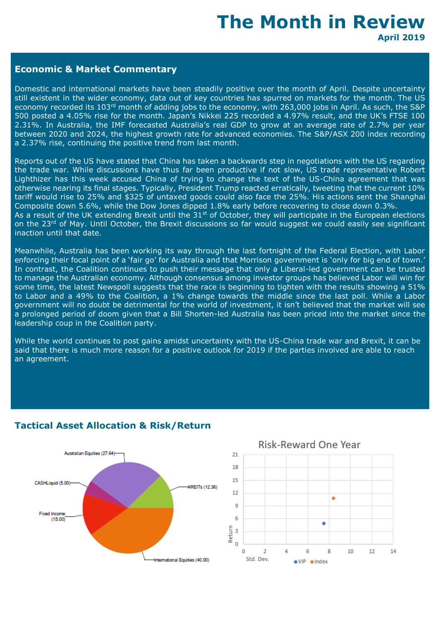## **The Month in Review April 2019**

#### **Economic & Market Commentary**

Domestic and international markets have been steadily positive over the month of April. Despite uncertainty still existent in the wider economy, data out of key countries has spurred on markets for the month. The US economy recorded its 103<sup>rd</sup> month of adding jobs to the economy, with 263,000 jobs in April. As such, the S&P 500 posted a 4.05% rise for the month. Japan's Nikkei 225 recorded a 4.97% result, and the UK's FTSE 100 2.31%. In Australia, the IMF forecasted Australia's real GDP to grow at an average rate of 2.7% per year between 2020 and 2024, the highest growth rate for advanced economies. The S&P/ASX 200 index recording a 2.37% rise, continuing the positive trend from last month.

Reports out of the US have stated that China has taken a backwards step in negotiations with the US regarding the trade war. While discussions have thus far been productive if not slow, US trade representative Robert Lighthizer has this week accused China of trying to change the text of the US-China agreement that was otherwise nearing its final stages. Typically, President Trump reacted erratically, tweeting that the current 10% tariff would rise to 25% and \$325 of untaxed goods could also face the 25%. His actions sent the Shanghai Composite down 5.6%, while the Dow Jones dipped 1.8% early before recovering to close down 0.3%. As a result of the UK extending Brexit until the  $31^{st}$  of October, they will participate in the European elections on the 23<sup>rd</sup> of May. Until October, the Brexit discussions so far would suggest we could easily see significant inaction until that date.

Meanwhile, Australia has been working its way through the last fortnight of the Federal Election, with Labor enforcing their focal point of a 'fair go' for Australia and that Morrison government is 'only for big end of town.' In contrast, the Coalition continues to push their message that only a Liberal-led government can be trusted to manage the Australian economy. Although consensus among investor groups has believed Labor will win for some time, the latest Newspoll suggests that the race is beginning to tighten with the results showing a 51% to Labor and a 49% to the Coalition, a 1% change towards the middle since the last poll. While a Labor government will no doubt be detrimental for the world of investment, it isn't believed that the market will see a prolonged period of doom given that a Bill Shorten-led Australia has been priced into the market since the leadership coup in the Coalition party.

While the world continues to post gains amidst uncertainty with the US-China trade war and Brexit, it can be said that there is much more reason for a positive outlook for 2019 if the parties involved are able to reach an agreement.



#### **Tactical Asset Allocation & Risk/Return**



#### Risk-Reward One Year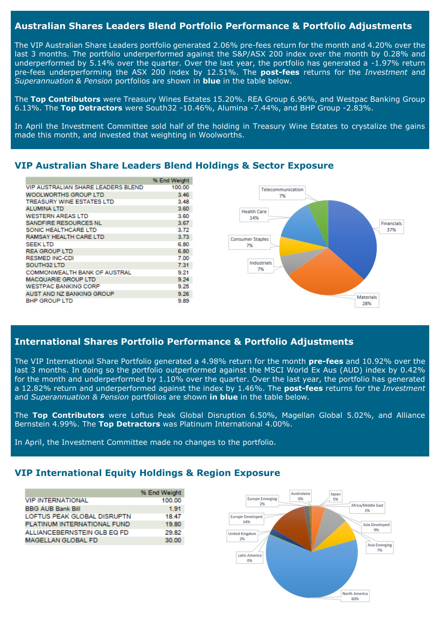#### **Australian Shares Leaders Blend Portfolio Performance & Portfolio Adjustments**

The VIP Australian Share Leaders portfolio generated 2.06% pre-fees return for the month and 4.20% over the last 3 months. The portfolio underperformed against the S&P/ASX 200 index over the month by 0.28% and underperformed by 5.14% over the quarter. Over the last year, the portfolio has generated a -1.97% return pre-fees underperforming the ASX 200 index by 12.51%. The **post-fees** returns for the *Investment* and *Superannuation & Pension* portfolios are shown in **blue** in the table below.

The **Top Contributors** were Treasury Wines Estates 15.20%. REA Group 6.96%, and Westpac Banking Group 6.13%. The **Top Detractors** were South32 -10.46%, Alumina -7.44%, and BHP Group -2.83%.

In April the Investment Committee sold half of the holding in Treasury Wine Estates to crystalize the gains made this month, and invested that weighting in Woolworths.

#### % End Weight VIP AUSTRALIAN SHARE LEADERS BLEND 100.00 WOOLWORTHS GROUP LTD  $3.46$ **TREASURY WINE ESTATES LTD** 3.48 AI UMINA I TD 3.60 **WESTERN AREAS LTD** 3.60 SANDEIRE RESOURCES NL 3.67 SONIC HEALTHCARE LTD 3.72 RAMSAY HEALTH CARE LTD 3.73 **SEEK LTD** 6.80 **REA GROUP LTD** 6.80 RESMED INC-CDI 7.00 SOUTH32 LTD 7.31 **COMMONWEALTH BANK OF AUSTRAL** 9.21 **MACQUARIE GROUP LTD** 9.24 9.25 **WESTPAC BANKING CORP** AUST AND NZ BANKING GROUP 9.26 **BHP GROUP LTD** 9.89



### **VIP Australian Share Leaders Blend Holdings & Sector Exposure**

#### **International Shares Portfolio Performance & Portfolio Adjustments**

The VIP International Share Portfolio generated a 4.98% return for the month **pre-fees** and 10.92% over the last 3 months. In doing so the portfolio outperformed against the MSCI World Ex Aus (AUD) index by 0.42% for the month and underperformed by 1.10% over the quarter. Over the last year, the portfolio has generated a 12.82% return and underperformed against the index by 1.46%. The **post-fees** returns for the *Investment* and *Superannuation & Pension* portfolios are shown **in blue** in the table below.

The **Top Contributors** were Loftus Peak Global Disruption 6.50%, Magellan Global 5.02%, and Alliance Bernstein 4.99%. The **Top Detractors** was Platinum International 4.00%.

In April, the Investment Committee made no changes to the portfolio.

#### **VIP International Equity Holdings & Region Exposure**

|                             | % End Weight |
|-----------------------------|--------------|
| <b>VIP INTERNATIONAL</b>    | 100.00       |
| <b>BBG AUB Bank Bill</b>    | 1.91         |
| LOFTUS PEAK GLOBAL DISRUPTN | 18.47        |
| PLATINUM INTERNATIONAL FUND | 19.80        |
| ALLIANCEBERNSTEIN GLB EQ FD | 29.82        |
| <b>MAGELLAN GLOBAL FD</b>   | 30.00        |